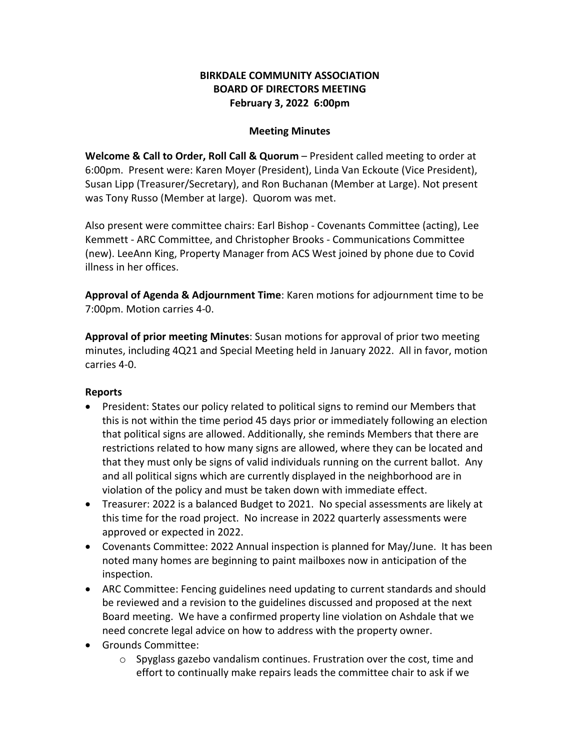# **BIRKDALE COMMUNITY ASSOCIATION BOARD OF DIRECTORS MEETING February 3, 2022 6:00pm**

#### **Meeting Minutes**

**Welcome & Call to Order, Roll Call & Quorum** – President called meeting to order at 6:00pm. Present were: Karen Moyer (President), Linda Van Eckoute (Vice President), Susan Lipp (Treasurer/Secretary), and Ron Buchanan (Member at Large). Not present was Tony Russo (Member at large). Quorom was met.

Also present were committee chairs: Earl Bishop - Covenants Committee (acting), Lee Kemmett - ARC Committee, and Christopher Brooks - Communications Committee (new). LeeAnn King, Property Manager from ACS West joined by phone due to Covid illness in her offices.

**Approval of Agenda & Adjournment Time**: Karen motions for adjournment time to be 7:00pm. Motion carries 4-0.

**Approval of prior meeting Minutes**: Susan motions for approval of prior two meeting minutes, including 4Q21 and Special Meeting held in January 2022. All in favor, motion carries 4-0.

# **Reports**

- President: States our policy related to political signs to remind our Members that this is not within the time period 45 days prior or immediately following an election that political signs are allowed. Additionally, she reminds Members that there are restrictions related to how many signs are allowed, where they can be located and that they must only be signs of valid individuals running on the current ballot. Any and all political signs which are currently displayed in the neighborhood are in violation of the policy and must be taken down with immediate effect.
- Treasurer: 2022 is a balanced Budget to 2021. No special assessments are likely at this time for the road project. No increase in 2022 quarterly assessments were approved or expected in 2022.
- Covenants Committee: 2022 Annual inspection is planned for May/June. It has been noted many homes are beginning to paint mailboxes now in anticipation of the inspection.
- ARC Committee: Fencing guidelines need updating to current standards and should be reviewed and a revision to the guidelines discussed and proposed at the next Board meeting. We have a confirmed property line violation on Ashdale that we need concrete legal advice on how to address with the property owner.
- Grounds Committee:
	- $\circ$  Spyglass gazebo vandalism continues. Frustration over the cost, time and effort to continually make repairs leads the committee chair to ask if we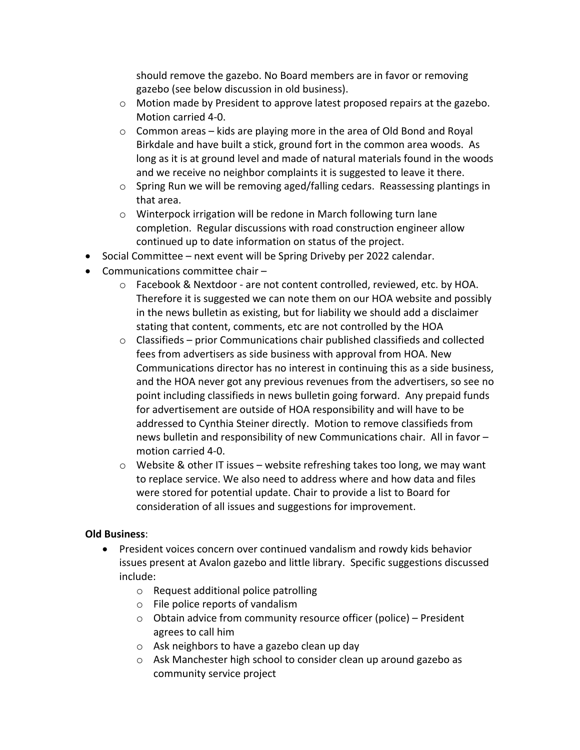should remove the gazebo. No Board members are in favor or removing gazebo (see below discussion in old business).

- $\circ$  Motion made by President to approve latest proposed repairs at the gazebo. Motion carried 4-0.
- o Common areas kids are playing more in the area of Old Bond and Royal Birkdale and have built a stick, ground fort in the common area woods. As long as it is at ground level and made of natural materials found in the woods and we receive no neighbor complaints it is suggested to leave it there.
- $\circ$  Spring Run we will be removing aged/falling cedars. Reassessing plantings in that area.
- o Winterpock irrigation will be redone in March following turn lane completion. Regular discussions with road construction engineer allow continued up to date information on status of the project.
- Social Committee next event will be Spring Driveby per 2022 calendar.
- Communications committee chair
	- $\circ$  Facebook & Nextdoor are not content controlled, reviewed, etc. by HOA. Therefore it is suggested we can note them on our HOA website and possibly in the news bulletin as existing, but for liability we should add a disclaimer stating that content, comments, etc are not controlled by the HOA
	- $\circ$  Classifieds prior Communications chair published classifieds and collected fees from advertisers as side business with approval from HOA. New Communications director has no interest in continuing this as a side business, and the HOA never got any previous revenues from the advertisers, so see no point including classifieds in news bulletin going forward. Any prepaid funds for advertisement are outside of HOA responsibility and will have to be addressed to Cynthia Steiner directly. Motion to remove classifieds from news bulletin and responsibility of new Communications chair. All in favor – motion carried 4-0.
	- $\circ$  Website & other IT issues website refreshing takes too long, we may want to replace service. We also need to address where and how data and files were stored for potential update. Chair to provide a list to Board for consideration of all issues and suggestions for improvement.

# **Old Business**:

- President voices concern over continued vandalism and rowdy kids behavior issues present at Avalon gazebo and little library. Specific suggestions discussed include:
	- o Request additional police patrolling
	- o File police reports of vandalism
	- o Obtain advice from community resource officer (police) President agrees to call him
	- o Ask neighbors to have a gazebo clean up day
	- o Ask Manchester high school to consider clean up around gazebo as community service project